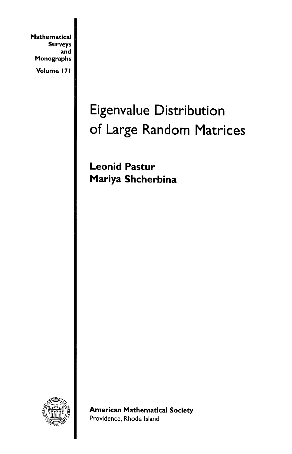**Mathematical** Surveys and Monographs

Volume 171

## Eigenvalue Distribution of Large Random Matrices

Leonid Pastur Mariya Shcherbina



American Mathematical Society Providence, Rhode Island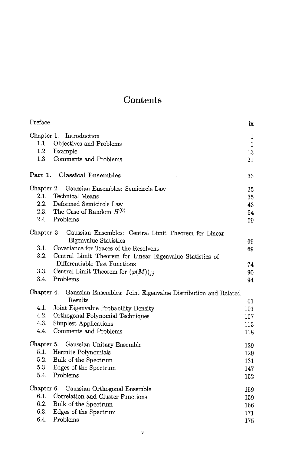## Contents

| Preface                                                |                                                                                                                                                                                                                                                                        | ix                              |
|--------------------------------------------------------|------------------------------------------------------------------------------------------------------------------------------------------------------------------------------------------------------------------------------------------------------------------------|---------------------------------|
| Chapter 1.<br>1.1.<br>1.2.<br>Example<br>1.3.          | Introduction<br>Objectives and Problems<br>Comments and Problems                                                                                                                                                                                                       | 1<br>$\mathbf{1}$<br>13<br>21   |
|                                                        | Part 1. Classical Ensembles                                                                                                                                                                                                                                            | 33                              |
| 2.1.<br>2.2.<br>2.4. Problems                          | Chapter 2. Gaussian Ensembles: Semicircle Law<br>Technical Means<br>Deformed Semicircle Law<br>2.3. The Case of Random $H^{(0)}$                                                                                                                                       | 35<br>35<br>43<br>54<br>59      |
| Chapter 3.<br>3.1.<br>3.2.<br>3.3.                     | Gaussian Ensembles: Central Limit Theorem for Linear<br>Eigenvalue Statistics<br>Covariance for Traces of the Resolvent<br>Central Limit Theorem for Linear Eigenvalue Statistics of<br>Differentiable Test Functions<br>Central Limit Theorem for $(\varphi(M))_{ij}$ | 69<br>69<br>74<br>90            |
| 3.4.<br>Problems<br>Chapter 4.                         | Gaussian Ensembles: Joint Eigenvalue Distribution and Related                                                                                                                                                                                                          | 94                              |
| 4.1.<br>4.2.<br>4.3.<br>4.4.                           | Results<br>Joint Eigenvalue Probability Density<br>Orthogonal Polynomial Techniques<br>Simplest Applications<br>Comments and Problems                                                                                                                                  | 101<br>101<br>107<br>113<br>118 |
| Chapter 5.<br>5.1.<br>5.2.<br>5.3.<br>5.4.<br>Problems | Gaussian Unitary Ensemble<br>Hermite Polynomials<br>Bulk of the Spectrum<br>Edges of the Spectrum                                                                                                                                                                      | 129<br>129<br>131<br>147<br>152 |
| Chapter 6.<br>6.1.<br>6.2.<br>6.3.<br>6.4.<br>Problems | Gaussian Orthogonal Ensemble<br>Correlation and Cluster Functions<br>Bulk of the Spectrum<br>Edges of the Spectrum                                                                                                                                                     | 159<br>159<br>166<br>171<br>175 |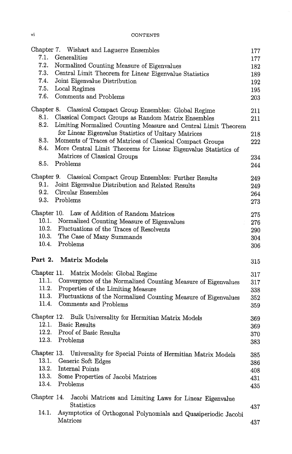vi CONTENTS

|                                                                | Chapter 7. Wishart and Laguerre Ensembles                       | 177        |  |
|----------------------------------------------------------------|-----------------------------------------------------------------|------------|--|
| 7.1.                                                           | Generalities                                                    |            |  |
| 7.2.                                                           | Normalized Counting Measure of Eigenvalues                      |            |  |
| 7.3.<br>Central Limit Theorem for Linear Eigenvalue Statistics |                                                                 |            |  |
| 7.4.<br>Joint Eigenvalue Distribution                          |                                                                 |            |  |
| 7.5.<br>Local Regimes                                          |                                                                 | 192<br>195 |  |
| 7.6.                                                           | Comments and Problems                                           | 203        |  |
|                                                                |                                                                 |            |  |
|                                                                | Chapter 8. Classical Compact Group Ensembles: Global Regime     | 211        |  |
| 8.1.                                                           | Classical Compact Groups as Random Matrix Ensembles             | 211        |  |
| 8.2.                                                           | Limiting Normalized Counting Measure and Central Limit Theorem  |            |  |
|                                                                | for Linear Eigenvalue Statistics of Unitary Matrices            | 218        |  |
| 8.3.                                                           | Moments of Traces of Matrices of Classical Compact Groups       | 222        |  |
| 8.4.                                                           | More Central Limit Theorems for Linear Eigenvalue Statistics of |            |  |
|                                                                | Matrices of Classical Groups                                    | 234        |  |
| Problems<br>8.5.                                               |                                                                 | 244        |  |
|                                                                | Chapter 9. Classical Compact Group Ensembles: Further Results   | 249        |  |
| 9.1.                                                           | Joint Eigenvalue Distribution and Related Results               | 249        |  |
| 9.2.<br>Circular Ensembles                                     |                                                                 | 264        |  |
| 9.3.<br>Problems                                               |                                                                 | 273        |  |
|                                                                |                                                                 |            |  |
| Chapter 10.                                                    | Law of Addition of Random Matrices                              | 275        |  |
| 10.1.                                                          | Normalized Counting Measure of Eigenvalues                      | 276        |  |
| 10.2.                                                          | Fluctuations of the Traces of Resolvents                        | 290        |  |
| 10.3.                                                          | The Case of Many Summands                                       | 304        |  |
| 10.4.<br>Problems                                              |                                                                 | 306        |  |
| Part 2.<br>Matrix Models                                       |                                                                 | $315\,$    |  |
| Chapter 11.                                                    | Matrix Models: Global Regime                                    |            |  |
| 11.1.                                                          | Convergence of the Normalized Counting Measure of Eigenvalues   | 317        |  |
| 11.2.                                                          | Properties of the Limiting Measure                              | 317        |  |
| 11.3.                                                          | Fluctuations of the Normalized Counting Measure of Eigenvalues  | 338        |  |
| 11.4.                                                          | Comments and Problems                                           | 352        |  |
|                                                                |                                                                 | 359        |  |
|                                                                | Chapter 12. Bulk Universality for Hermitian Matrix Models       | 369        |  |
| 12.1.<br><b>Basic Results</b>                                  |                                                                 | 369        |  |
| 12.2.                                                          | Proof of Basic Results                                          | 370        |  |
| 12.3.<br>Problems                                              |                                                                 | 383        |  |
| Chapter 13.                                                    | Universality for Special Points of Hermitian Matrix Models      | 385        |  |
| 13.1.<br>Generic Soft Edges                                    |                                                                 | 386        |  |
| 13.2.<br>Internal Points                                       |                                                                 | 408        |  |
| 13.3.                                                          | Some Properties of Jacobi Matrices                              | 431        |  |
| 13.4.<br>Problems                                              |                                                                 |            |  |
|                                                                |                                                                 | 435        |  |
| Chapter 14.                                                    | Jacobi Matrices and Limiting Laws for Linear Eigenvalue         |            |  |
| Statistics                                                     |                                                                 | 437        |  |
| 14.1.                                                          | Asymptotics of Orthogonal Polynomials and Quasiperiodic Jacobi  |            |  |
| Matrices                                                       |                                                                 | 437        |  |